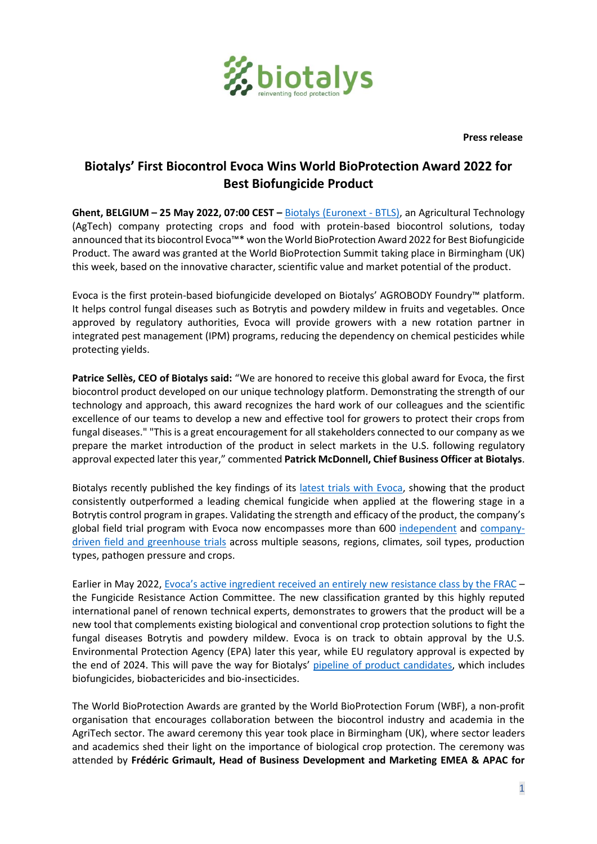

 **Press release**

## **Biotalys' First Biocontrol Evoca Wins World BioProtection Award 2022 for Best Biofungicide Product**

**Ghent, BELGIUM – 25 May 2022, 07:00 CEST –** [Biotalys \(Euronext -](http://www.biotalys.com/) BTLS), an Agricultural Technology (AgTech) company protecting crops and food with protein-based biocontrol solutions, today announced that its biocontrol Evoca™\* won the World BioProtection Award 2022 for Best Biofungicide Product. The award was granted at the World BioProtection Summit taking place in Birmingham (UK) this week, based on the innovative character, scientific value and market potential of the product.

Evoca is the first protein-based biofungicide developed on Biotalys' AGROBODY Foundry™ platform. It helps control fungal diseases such as Botrytis and powdery mildew in fruits and vegetables. Once approved by regulatory authorities, Evoca will provide growers with a new rotation partner in integrated pest management (IPM) programs, reducing the dependency on chemical pesticides while protecting yields.

**Patrice Sellès, CEO of Biotalys said:** "We are honored to receive this global award for Evoca, the first biocontrol product developed on our unique technology platform. Demonstrating the strength of our technology and approach, this award recognizes the hard work of our colleagues and the scientific excellence of our teams to develop a new and effective tool for growers to protect their crops from fungal diseases." "This is a great encouragement for all stakeholders connected to our company as we prepare the market introduction of the product in select markets in the U.S. following regulatory approval expected later this year," commented **Patrick McDonnell, Chief Business Officer at Biotalys**.

Biotalys recently published the key findings of its latest [trials with Evoca,](https://biotalys.com/media/news/latest-field-trials-validate-strength-biotalys-first-biocontrol-evoca) showing that the product consistently outperformed a leading chemical fungicide when applied at the flowering stage in a Botrytis control program in grapes. Validating the strength and efficacy of the product, the company's global field trial program with Evoca now encompasses more than 600 [independent](https://biotalys.com/media/news/biotalys-first-biocontrol-evocatm-demonstrated-be-excellent-new-tool-growers-2021) and [company](https://biotalys.com/media/news/biotalys-ongoing-trial-program-demonstrates-strong-potential-its-new-generation-protein)[driven field and greenhouse trials](https://biotalys.com/media/news/biotalys-ongoing-trial-program-demonstrates-strong-potential-its-new-generation-protein) across multiple seasons, regions, climates, soil types, production types, pathogen pressure and crops.

Earlier in May 2022, [Evoca's active ingredient received an entirely new resistance class by the FRAC](https://biotalys.com/media/news/biotalys-obtains-new-fungicide-resistance-class-its-first-biofungicide) – the Fungicide Resistance Action Committee. The new classification granted by this highly reputed international panel of renown technical experts, demonstrates to growers that the product will be a new tool that complements existing biological and conventional crop protection solutions to fight the fungal diseases Botrytis and powdery mildew. Evoca is on track to obtain approval by the U.S. Environmental Protection Agency (EPA) later this year, while EU regulatory approval is expected by the end of 2024. This will pave the way for Biotalys' [pipeline of product candidates,](https://www.biotalys.com/our-solutions/product-pipeline) which includes biofungicides, biobactericides and bio-insecticides.

The World BioProtection Awards are granted by the World BioProtection Forum (WBF), a non-profit organisation that encourages collaboration between the biocontrol industry and academia in the AgriTech sector. The award ceremony this year took place in Birmingham (UK), where sector leaders and academics shed their light on the importance of biological crop protection. The ceremony was attended by **Frédéric Grimault, Head of Business Development and Marketing EMEA & APAC for**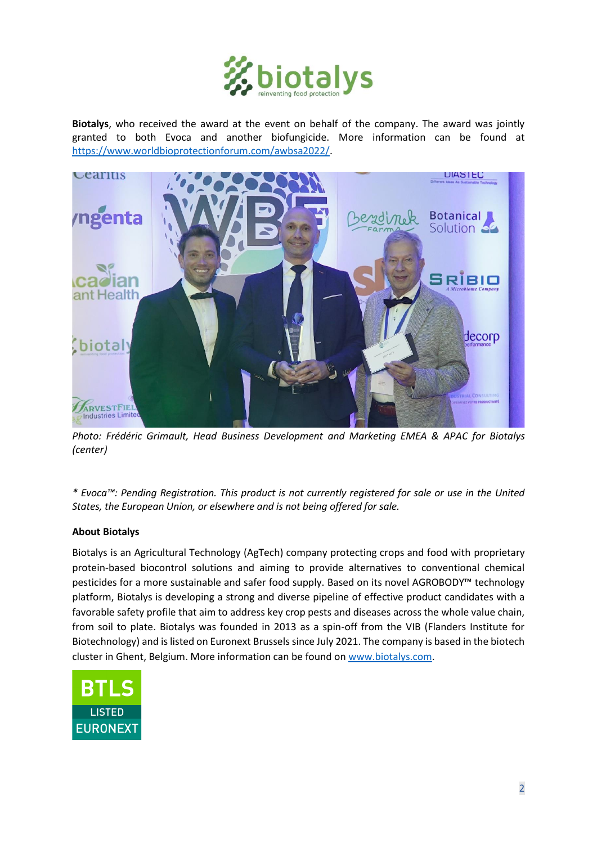

**Biotalys**, who received the award at the event on behalf of the company. The award was jointly granted to both Evoca and another biofungicide. More information can be found at [https://www.worldbioprotectionforum.com/awbsa2022/.](https://www.worldbioprotectionforum.com/awbsa2022/)



*Photo: Frédéric Grimault, Head Business Development and Marketing EMEA & APAC for Biotalys (center)*

*\* Evoca™: Pending Registration. This product is not currently registered for sale or use in the United States, the European Union, or elsewhere and is not being offered for sale.*

## **About Biotalys**

Biotalys is an Agricultural Technology (AgTech) company protecting crops and food with proprietary protein-based biocontrol solutions and aiming to provide alternatives to conventional chemical pesticides for a more sustainable and safer food supply. Based on its novel AGROBODY™ technology platform, Biotalys is developing a strong and diverse pipeline of effective product candidates with a favorable safety profile that aim to address key crop pests and diseases across the whole value chain, from soil to plate. Biotalys was founded in 2013 as a spin-off from the VIB (Flanders Institute for Biotechnology) and is listed on Euronext Brussels since July 2021. The company is based in the biotech cluster in Ghent, Belgium. More information can be found o[n www.biotalys.com.](http://www.biotalys.com/)